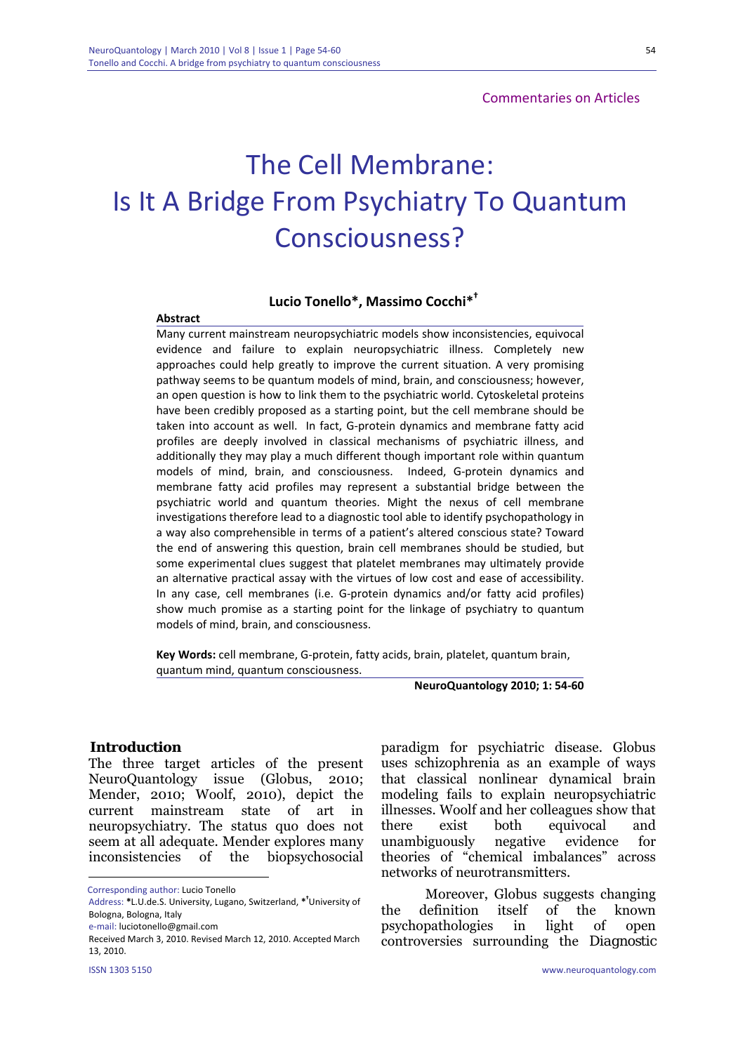# The Cell Membrane: Is It A Bridge From Psychiatry To Quantum Consciousness?

#### **Lucio Tonello\*, Massimo Cocchi\*†**

#### **Abstract**

Many current mainstream neuropsychiatric models show inconsistencies, equivocal evidence and failure to explain neuropsychiatric illness. Completely new approaches could help greatly to improve the current situation. A very promising pathway seems to be quantum models of mind, brain, and consciousness; however, an open question is how to link them to the psychiatric world. Cytoskeletal proteins have been credibly proposed as a starting point, but the cell membrane should be taken into account as well. In fact, G‐protein dynamics and membrane fatty acid profiles are deeply involved in classical mechanisms of psychiatric illness, and additionally they may play a much different though important role within quantum models of mind, brain, and consciousness. Indeed, G‐protein dynamics and membrane fatty acid profiles may represent a substantial bridge between the psychiatric world and quantum theories. Might the nexus of cell membrane investigations therefore lead to a diagnostic tool able to identify psychopathology in a way also comprehensible in terms of a patient's altered conscious state? Toward the end of answering this question, brain cell membranes should be studied, but some experimental clues suggest that platelet membranes may ultimately provide an alternative practical assay with the virtues of low cost and ease of accessibility. In any case, cell membranes (i.e. G‐protein dynamics and/or fatty acid profiles) show much promise as a starting point for the linkage of psychiatry to quantum models of mind, brain, and consciousness.

**Key Words:** cell membrane, G‐protein, fatty acids, brain, platelet, quantum brain, quantum mind, quantum consciousness.

**NeuroQuantology 2010; 1: 54‐60**

#### **Introduction**

The three target articles of the present NeuroQuantology issue (Globus, 2010; Mender, 2010; Woolf, 2010), depict the current mainstream state of art in neuropsychiatry. The status quo does not seem at all adequate. Mender explores many inconsistencies of the biopsychosocial

e‐mail: luciotonello@gmail.com

<u>.</u>

paradigm for psychiatric disease. Globus uses schizophrenia as an example of ways that classical nonlinear dynamical brain modeling fails to explain neuropsychiatric illnesses. Woolf and her colleagues show that there exist both equivocal and unambiguously negative evidence for theories of "chemical imbalances" across networks of neurotransmitters.

Moreover, Globus suggests changing the definition itself of the known psychopathologies in light of open controversies surrounding the *Diagnostic* 

Corresponding author: Lucio Tonello

Address: **\***L.U.de.S. University, Lugano, Switzerland, **\* †** University of Bologna, Bologna, Italy

Received March 3, 2010. Revised March 12, 2010. Accepted March 13, 2010.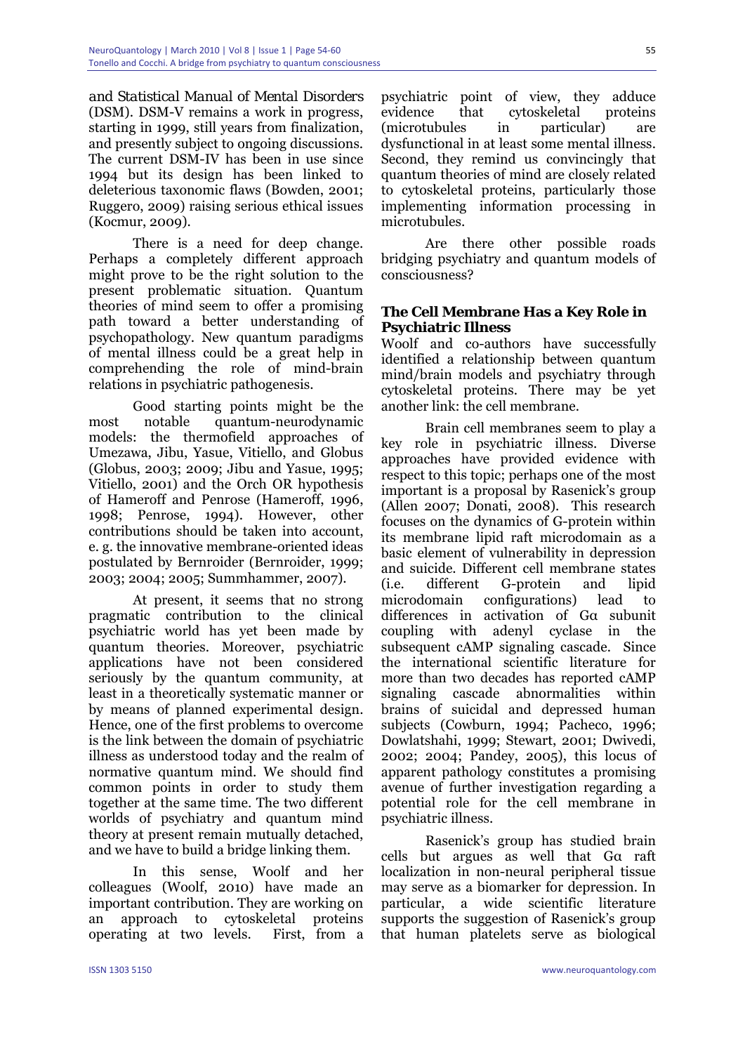*and Statistical Manual of Mental Disorders* (DSM). DSM-V remains a work in progress, starting in 1999, still years from finalization, and presently subject to ongoing discussions. The current DSM-IV has been in use since 1994 but its design has been linked to deleterious taxonomic flaws (Bowden, 2001; Ruggero, 2009) raising serious ethical issues (Kocmur, 2009).

There is a need for deep change. Perhaps a completely different approach might prove to be the right solution to the present problematic situation. Quantum theories of mind seem to offer a promising path toward a better understanding of psychopathology. New quantum paradigms of mental illness could be a great help in comprehending the role of mind-brain relations in psychiatric pathogenesis.

Good starting points might be the most notable quantum-neurodynamic models: the thermofield approaches of Umezawa, Jibu, Yasue, Vitiello, and Globus (Globus, 2003; 2009; Jibu and Yasue, 1995; Vitiello, 2001) and the Orch OR hypothesis of Hameroff and Penrose (Hameroff, 1996, 1998; Penrose, 1994). However, other contributions should be taken into account, e. g. the innovative membrane-oriented ideas postulated by Bernroider (Bernroider, 1999; 2003; 2004; 2005; Summhammer, 2007).

At present, it seems that no strong pragmatic contribution to the clinical psychiatric world has yet been made by quantum theories. Moreover, psychiatric applications have not been considered seriously by the quantum community, at least in a theoretically systematic manner or by means of planned experimental design. Hence, one of the first problems to overcome is the link between the domain of psychiatric illness as understood today and the realm of normative quantum mind. We should find common points in order to study them together at the same time. The two different worlds of psychiatry and quantum mind theory at present remain mutually detached, and we have to build a bridge linking them.

In this sense, Woolf and her colleagues (Woolf, 2010) have made an important contribution. They are working on an approach to cytoskeletal proteins operating at two levels. First, from a

psychiatric point of view, they adduce evidence that cytoskeletal proteins (microtubules in particular) are dysfunctional in at least some mental illness. Second, they remind us convincingly that quantum theories of mind are closely related to cytoskeletal proteins, particularly those implementing information processing in microtubules.

Are there other possible roads bridging psychiatry and quantum models of consciousness?

## **The Cell Membrane Has a Key Role in Psychiatric Illness**

Woolf and co-authors have successfully identified a relationship between quantum mind/brain models and psychiatry through cytoskeletal proteins. There may be yet another link: the cell membrane.

Brain cell membranes seem to play a key role in psychiatric illness. Diverse approaches have provided evidence with respect to this topic; perhaps one of the most important is a proposal by Rasenick's group (Allen 2007; Donati, 2008). This research focuses on the dynamics of G-protein within its membrane lipid raft microdomain as a basic element of vulnerability in depression and suicide. Different cell membrane states (i.e. different G-protein and lipid microdomain configurations) lead to differences in activation of Gα subunit coupling with adenyl cyclase in the subsequent cAMP signaling cascade. Since the international scientific literature for more than two decades has reported cAMP signaling cascade abnormalities within brains of suicidal and depressed human subjects (Cowburn, 1994; Pacheco, 1996; Dowlatshahi, 1999; Stewart, 2001; Dwivedi, 2002; 2004; Pandey, 2005), this locus of apparent pathology constitutes a promising avenue of further investigation regarding a potential role for the cell membrane in psychiatric illness.

Rasenick's group has studied brain cells but argues as well that Gα raft localization in non-neural peripheral tissue may serve as a biomarker for depression. In particular, a wide scientific literature supports the suggestion of Rasenick's group that human platelets serve as biological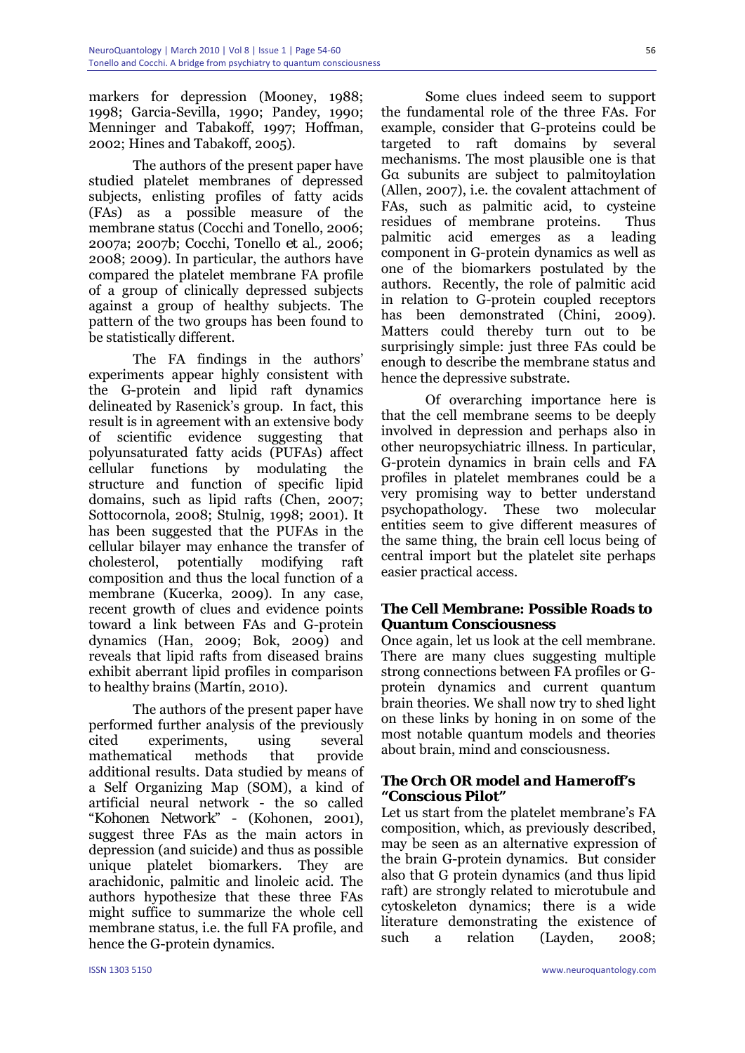markers for depression (Mooney, 1988; 1998; Garcia-Sevilla, 1990; Pandey, 1990; Menninger and Tabakoff, 1997; Hoffman, 2002; Hines and Tabakoff, 2005).

The authors of the present paper have studied platelet membranes of depressed subjects, enlisting profiles of fatty acids (FAs) as a possible measure of the membrane status (Cocchi and Tonello, 2006; 2007a; 2007b; Cocchi, Tonello *et al.,* 2006; 2008; 2009). In particular, the authors have compared the platelet membrane FA profile of a group of clinically depressed subjects against a group of healthy subjects. The pattern of the two groups has been found to be statistically different.

The FA findings in the authors' experiments appear highly consistent with the G-protein and lipid raft dynamics delineated by Rasenick's group. In fact, this result is in agreement with an extensive body of scientific evidence suggesting that polyunsaturated fatty acids (PUFAs) affect cellular functions by modulating the structure and function of specific lipid domains, such as lipid rafts (Chen, 2007; Sottocornola, 2008; Stulnig, 1998; 2001). It has been suggested that the PUFAs in the cellular bilayer may enhance the transfer of cholesterol, potentially modifying raft composition and thus the local function of a membrane (Kucerka, 2009). In any case, recent growth of clues and evidence points toward a link between FAs and G-protein dynamics (Han, 2009; Bok, 2009) and reveals that lipid rafts from diseased brains exhibit aberrant lipid profiles in comparison to healthy brains (Martín, 2010).

The authors of the present paper have performed further analysis of the previously cited experiments, using several mathematical methods that provide additional results. Data studied by means of a Self Organizing Map (SOM), a kind of artificial neural network - the so called "*Kohonen Network*" - (Kohonen, 2001), suggest three FAs as the main actors in depression (and suicide) and thus as possible unique platelet biomarkers. They are arachidonic, palmitic and linoleic acid. The authors hypothesize that these three FAs might suffice to summarize the whole cell membrane status, i.e. the full FA profile, and hence the G-protein dynamics.

Some clues indeed seem to support the fundamental role of the three FAs. For example, consider that G-proteins could be targeted to raft domains by several mechanisms. The most plausible one is that Gα subunits are subject to palmitoylation (Allen, 2007), i.e. the covalent attachment of FAs, such as palmitic acid, to cysteine residues of membrane proteins. Thus palmitic acid emerges as a leading component in G-protein dynamics as well as one of the biomarkers postulated by the authors. Recently, the role of palmitic acid in relation to G-protein coupled receptors has been demonstrated (Chini, 2009). Matters could thereby turn out to be surprisingly simple: just three FAs could be enough to describe the membrane status and hence the depressive substrate.

Of overarching importance here is that the cell membrane seems to be deeply involved in depression and perhaps also in other neuropsychiatric illness. In particular, G-protein dynamics in brain cells and FA profiles in platelet membranes could be a very promising way to better understand psychopathology. These two molecular entities seem to give different measures of the same thing, the brain cell locus being of central import but the platelet site perhaps easier practical access.

# **The Cell Membrane: Possible Roads to Quantum Consciousness**

Once again, let us look at the cell membrane. There are many clues suggesting multiple strong connections between FA profiles or Gprotein dynamics and current quantum brain theories. We shall now try to shed light on these links by honing in on some of the most notable quantum models and theories about brain, mind and consciousness.

# *The Orch OR model and Hameroff's* **"***Conscious Pilot***"**

Let us start from the platelet membrane's FA composition, which, as previously described, may be seen as an alternative expression of the brain G-protein dynamics. But consider also that G protein dynamics (and thus lipid raft) are strongly related to microtubule and cytoskeleton dynamics; there is a wide literature demonstrating the existence of such a relation (Layden, 2008;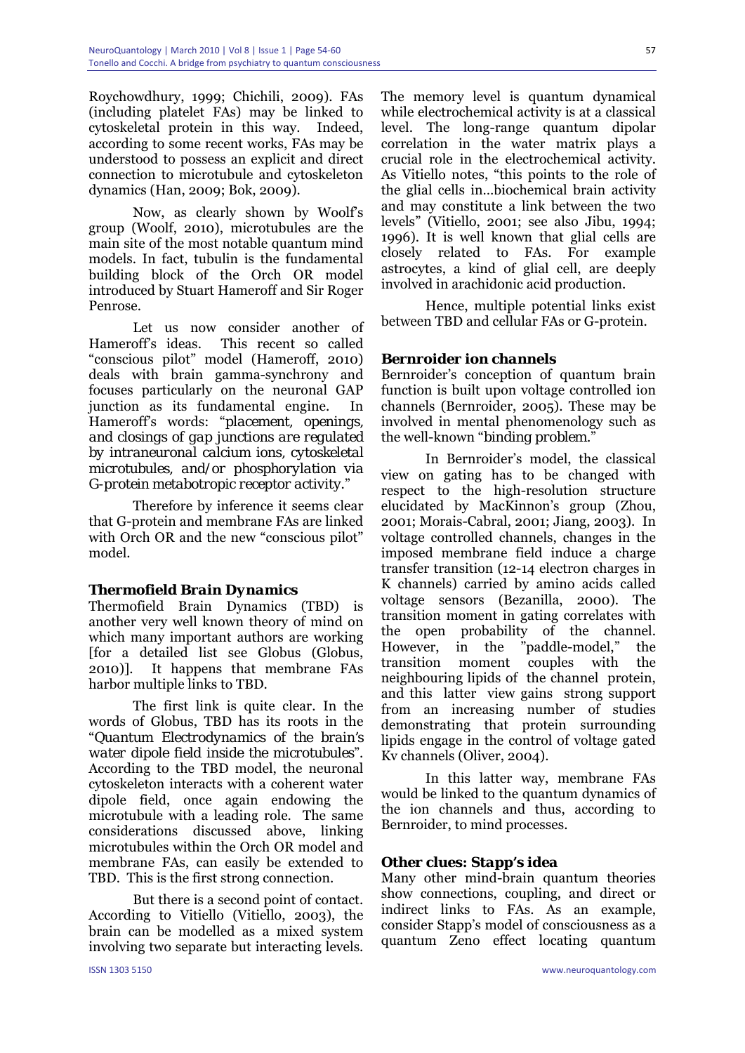Roychowdhury, 1999; Chichili, 2009). FAs (including platelet FAs) may be linked to cytoskeletal protein in this way. Indeed, according to some recent works, FAs may be understood to possess an explicit and direct connection to microtubule and cytoskeleton dynamics (Han, 2009; Bok, 2009).

Now, as clearly shown by Woolf's group (Woolf, 2010), microtubules are the main site of the most notable quantum mind models. In fact, tubulin is the fundamental building block of the Orch OR model introduced by Stuart Hameroff and Sir Roger Penrose.

Let us now consider another of Hameroff's ideas. This recent so called "conscious pilot" model (Hameroff, 2010) deals with brain gamma-synchrony and focuses particularly on the neuronal GAP junction as its fundamental engine. In Hameroff's words: "*placement, openings, and closings of gap junctions are regulated by intraneuronal calcium ions, cytoskeletal microtubules, and/or phosphorylation via G-protein metabotropic receptor activity*."

Therefore by inference it seems clear that G-protein and membrane FAs are linked with Orch OR and the new "conscious pilot" model.

# *Thermofield Brain Dynamics*

Thermofield Brain Dynamics (TBD) is another very well known theory of mind on which many important authors are working [for a detailed list see Globus (Globus, 2010)]. It happens that membrane FAs harbor multiple links to TBD.

The first link is quite clear. In the words of Globus, TBD has its roots in the "*Quantum Electrodynamics of the brain's water dipole field inside the microtubules*". According to the TBD model, the neuronal cytoskeleton interacts with a coherent water dipole field, once again endowing the microtubule with a leading role. The same considerations discussed above, linking microtubules within the Orch OR model and membrane FAs, can easily be extended to TBD. This is the first strong connection.

But there is a second point of contact. According to Vitiello (Vitiello, 2003), the brain can be modelled as a mixed system involving two separate but interacting levels.

The memory level is quantum dynamical while electrochemical activity is at a classical level. The long-range quantum dipolar correlation in the water matrix plays a crucial role in the electrochemical activity. As Vitiello notes, "this points to the role of the glial cells in…biochemical brain activity and may constitute a link between the two levels" (Vitiello, 2001; see also Jibu, 1994; 1996). It is well known that glial cells are closely related to FAs. For example astrocytes, a kind of glial cell, are deeply involved in arachidonic acid production.

Hence, multiple potential links exist between TBD and cellular FAs or G-protein.

## *Bernroider ion channels*

Bernroider's conception of quantum brain function is built upon voltage controlled ion channels (Bernroider, 2005). These may be involved in mental phenomenology such as the well-known "*binding problem.*"

In Bernroider's model, the classical view on gating has to be changed with respect to the high-resolution structure elucidated by MacKinnon's group (Zhou, 2001; Morais-Cabral, 2001; Jiang, 2003). In voltage controlled channels, changes in the imposed membrane field induce a charge transfer transition (12-14 electron charges in K channels) carried by amino acids called voltage sensors (Bezanilla, 2000). The transition moment in gating correlates with the open probability of the channel. However, in the "paddle-model," the transition moment couples with the neighbouring lipids of the channel protein, and this latter view gains strong support from an increasing number of studies demonstrating that protein surrounding lipids engage in the control of voltage gated Kv channels (Oliver, 2004).

In this latter way, membrane FAs would be linked to the quantum dynamics of the ion channels and thus, according to Bernroider, to mind processes.

#### *Other clues: Stapp's idea*

Many other mind-brain quantum theories show connections, coupling, and direct or indirect links to FAs. As an example, consider Stapp's model of consciousness as a quantum Zeno effect locating quantum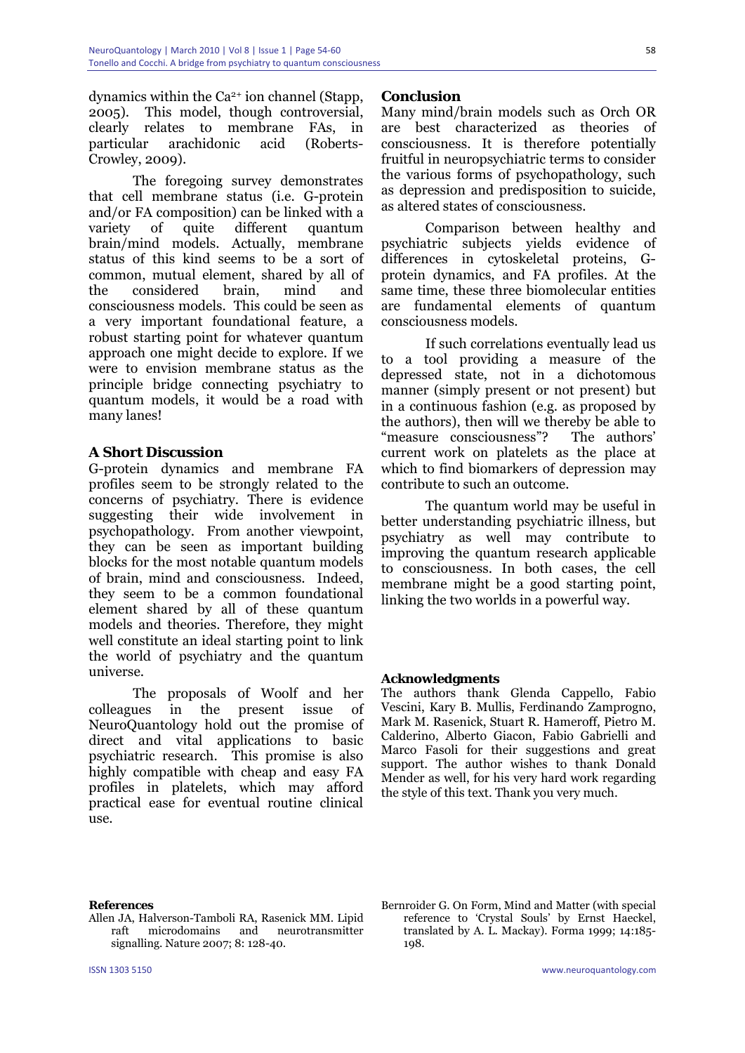dynamics within the Ca2+ ion channel (Stapp, 2005). This model, though controversial, clearly relates to membrane FAs, in particular arachidonic acid (Roberts-Crowley, 2009).

The foregoing survey demonstrates that cell membrane status (i.e. G-protein and/or FA composition) can be linked with a variety of quite different quantum brain/mind models. Actually, membrane status of this kind seems to be a sort of common, mutual element, shared by all of the considered brain, mind and consciousness models. This could be seen as a very important foundational feature, a robust starting point for whatever quantum approach one might decide to explore. If we were to envision membrane status as the principle bridge connecting psychiatry to quantum models, it would be a road with many lanes!

## **A Short Discussion**

G-protein dynamics and membrane FA profiles seem to be strongly related to the concerns of psychiatry. There is evidence suggesting their wide involvement in psychopathology. From another viewpoint, they can be seen as important building blocks for the most notable quantum models of brain, mind and consciousness. Indeed, they seem to be a common foundational element shared by all of these quantum models and theories. Therefore, they might well constitute an ideal starting point to link the world of psychiatry and the quantum universe.

The proposals of Woolf and her colleagues in the present issue of NeuroQuantology hold out the promise of direct and vital applications to basic psychiatric research. This promise is also highly compatible with cheap and easy FA profiles in platelets, which may afford practical ease for eventual routine clinical use.

## **Conclusion**

Many mind/brain models such as Orch OR are best characterized as theories of consciousness. It is therefore potentially fruitful in neuropsychiatric terms to consider the various forms of psychopathology, such as depression and predisposition to suicide, as altered states of consciousness.

Comparison between healthy and psychiatric subjects yields evidence of differences in cytoskeletal proteins, Gprotein dynamics, and FA profiles. At the same time, these three biomolecular entities are fundamental elements of quantum consciousness models.

If such correlations eventually lead us to a tool providing a measure of the depressed state, not in a dichotomous manner (simply present or not present) but in a continuous fashion (e.g. as proposed by the authors), then will we thereby be able to "measure consciousness"? The authors' current work on platelets as the place at which to find biomarkers of depression may contribute to such an outcome.

The quantum world may be useful in better understanding psychiatric illness, but psychiatry as well may contribute to improving the quantum research applicable to consciousness. In both cases, the cell membrane might be a good starting point, linking the two worlds in a powerful way.

#### **Acknowledgments**

The authors thank Glenda Cappello, Fabio Vescini, Kary B. Mullis, Ferdinando Zamprogno, Mark M. Rasenick, Stuart R. Hameroff, Pietro M. Calderino, Alberto Giacon, Fabio Gabrielli and Marco Fasoli for their suggestions and great support. The author wishes to thank Donald Mender as well, for his very hard work regarding the style of this text. Thank you very much.

#### **References**

- Allen JA, Halverson-Tamboli RA, Rasenick MM. Lipid raft microdomains and neurotransmitter signalling. Nature 2007; 8: 128-40.
- Bernroider G. On Form, Mind and Matter (with special reference to 'Crystal Souls' by Ernst Haeckel, translated by A. L. Mackay). Forma 1999; 14:185- 198.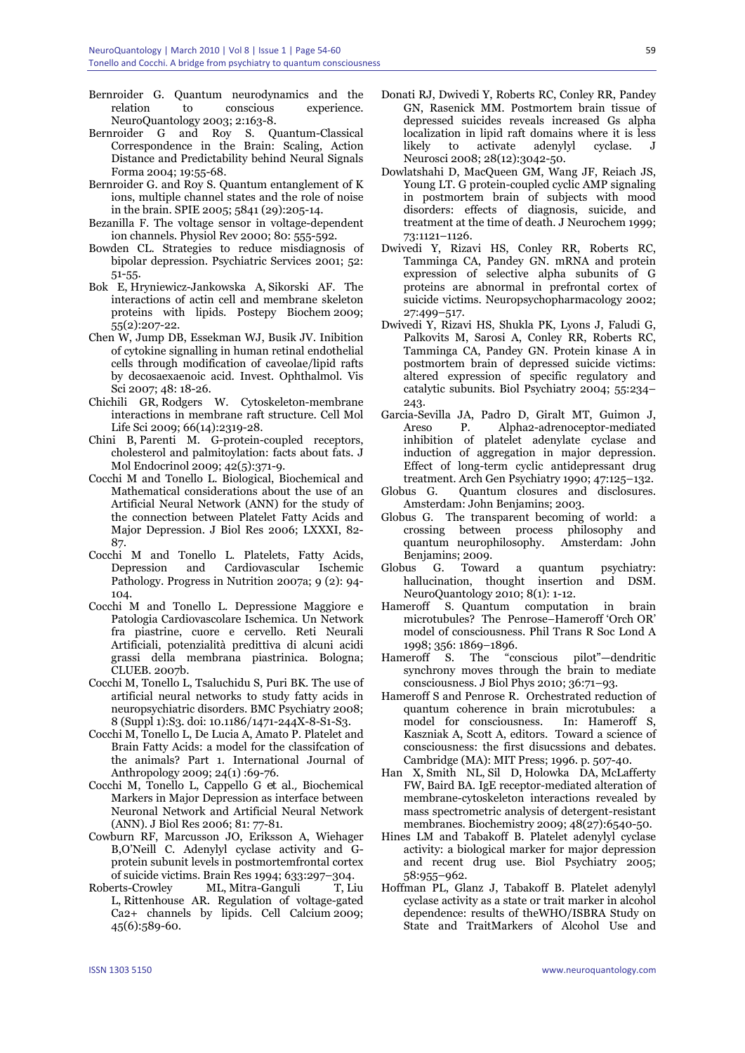- Bernroider G. Quantum neurodynamics and the relation to conscious experience. NeuroQuantology 2003; 2:163-8.
- Bernroider G and Roy S. Quantum-Classical Correspondence in the Brain: Scaling, Action Distance and Predictability behind Neural Signals Forma 2004; 19:55-68.
- Bernroider G. and Roy S. Quantum entanglement of K ions, multiple channel states and the role of noise in the brain. SPIE 2005; 5841 (29):205-14.
- Bezanilla F. The voltage sensor in voltage-dependent ion channels. Physiol Rev 2000; 80: 555-592.
- Bowden CL. Strategies to reduce misdiagnosis of bipolar depression. Psychiatric Services 2001; 52: 51-55.
- Bok E, Hryniewicz-Jankowska A, Sikorski AF. The interactions of actin cell and membrane skeleton proteins with lipids. Postepy Biochem 2009; 55(2):207-22.
- Chen W, Jump DB, Essekman WJ, Busik JV. Inibition of cytokine signalling in human retinal endothelial cells through modification of caveolae/lipid rafts by decosaexaenoic acid. Invest. Ophthalmol. Vis Sci 2007; 48: 18-26.
- Chichili GR, Rodgers W. Cytoskeleton-membrane interactions in membrane raft structure. Cell Mol Life Sci 2009; 66(14):2319-28.
- Chini B, Parenti M. G-protein-coupled receptors, cholesterol and palmitoylation: facts about fats. J Mol Endocrinol 2009; 42(5):371-9.
- Cocchi M and Tonello L. Biological, Biochemical and Mathematical considerations about the use of an Artificial Neural Network (ANN) for the study of the connection between Platelet Fatty Acids and Major Depression. J Biol Res 2006; LXXXI, 82- 87.
- Cocchi M and Tonello L. Platelets, Fatty Acids, Depression and Cardiovascular Ischemic Pathology. Progress in Nutrition 2007a; 9 (2): 94- 104.
- Cocchi M and Tonello L. Depressione Maggiore e Patologia Cardiovascolare Ischemica. Un Network fra piastrine, cuore e cervello. Reti Neurali Artificiali, potenzialità predittiva di alcuni acidi grassi della membrana piastrinica. Bologna; CLUEB. 2007b.
- Cocchi M, Tonello L, Tsaluchidu S, Puri BK. The use of artificial neural networks to study fatty acids in neuropsychiatric disorders. BMC Psychiatry 2008; 8 (Suppl 1):S3. doi: 10.1186/1471-244X-8-S1-S3.
- Cocchi M, Tonello L, De Lucia A, Amato P. Platelet and Brain Fatty Acids: a model for the classifcation of the animals? Part 1. International Journal of Anthropology 2009; 24(1) :69-76.
- Cocchi M, Tonello L, Cappello G *et al.,* Biochemical Markers in Major Depression as interface between Neuronal Network and Artificial Neural Network (ANN). J Biol Res 2006; 81: 77-81.
- Cowburn RF, Marcusson JO, Eriksson A, Wiehager B,O'Neill C. Adenylyl cyclase activity and Gprotein subunit levels in postmortemfrontal cortex of suicide victims. Brain Res 1994; 633:297–304.
- Roberts-Crowley ML, Mitra-Ganguli T, Liu L, Rittenhouse AR. Regulation of voltage-gated Ca2+ channels by lipids. Cell Calcium 2009; 45(6):589-60.
- Donati RJ, Dwivedi Y, Roberts RC, Conley RR, Pandey GN, Rasenick MM. Postmortem brain tissue of depressed suicides reveals increased Gs alpha localization in lipid raft domains where it is less likely to activate adenylyl cyclase. J Neurosci 2008; 28(12):3042-50.
- Dowlatshahi D, MacQueen GM, Wang JF, Reiach JS, Young LT. G protein-coupled cyclic AMP signaling in postmortem brain of subjects with mood disorders: effects of diagnosis, suicide, and treatment at the time of death. J Neurochem 1999; 73:1121–1126.
- Dwivedi Y, Rizavi HS, Conley RR, Roberts RC, Tamminga CA, Pandey GN. mRNA and protein expression of selective alpha subunits of G proteins are abnormal in prefrontal cortex of suicide victims. Neuropsychopharmacology 2002; 27:499–517.
- Dwivedi Y, Rizavi HS, Shukla PK, Lyons J, Faludi G, Palkovits M, Sarosi A, Conley RR, Roberts RC, Tamminga CA, Pandey GN. Protein kinase A in postmortem brain of depressed suicide victims: altered expression of specific regulatory and catalytic subunits. Biol Psychiatry 2004; 55:234– 243.
- Garcia-Sevilla JA, Padro D, Giralt MT, Guimon J, Areso P. Alpha2-adrenoceptor-mediated inhibition of platelet adenylate cyclase and induction of aggregation in major depression. Effect of long-term cyclic antidepressant drug treatment. Arch Gen Psychiatry 1990; 47:125–132.
- Globus G. Quantum closures and disclosures. Amsterdam: John Benjamins; 2003.
- Globus G. The transparent becoming of world: a crossing between process philosophy and quantum neurophilosophy. Amsterdam: John Benjamins; 2009.
- Globus G. Toward a quantum psychiatry: hallucination, thought insertion and DSM. NeuroQuantology 2010; 8(1): 1-12.
- Hameroff S. Quantum computation in brain microtubules? The Penrose–Hameroff 'Orch OR' model of consciousness. Phil Trans R Soc Lond A 1998; 356: 1869–1896.
- Hameroff S. The "conscious pilot"—dendritic synchrony moves through the brain to mediate consciousness. J Biol Phys 2010; 36:71–93.
- Hameroff S and Penrose R. Orchestrated reduction of quantum coherence in brain microtubules: a model for consciousness. In: Hameroff S, model for consciousness. Kaszniak A, Scott A, editors. Toward a science of consciousness: the first disucssions and debates. Cambridge (MA): MIT Press; 1996. p. 507-40.
- Han X, Smith NL, Sil D, Holowka DA, McLafferty FW, Baird BA. IgE receptor-mediated alteration of membrane-cytoskeleton interactions revealed by mass spectrometric analysis of detergent-resistant membranes. Biochemistry 2009; 48(27):6540-50.
- Hines LM and Tabakoff B. Platelet adenylyl cyclase activity: a biological marker for major depression and recent drug use. Biol Psychiatry 2005; 58:955–962.
- Hoffman PL, Glanz J, Tabakoff B. Platelet adenylyl cyclase activity as a state or trait marker in alcohol dependence: results of theWHO/ISBRA Study on State and TraitMarkers of Alcohol Use and